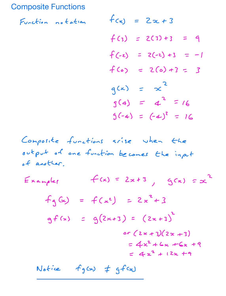## Composite Functions

Function notation  $f$ 

$$
f(x) = 2x + 3
$$
  
\n
$$
f(3) = 2(3) + 3 = 9
$$
  
\n
$$
f(-2) = 2(-2) + 3 = -1
$$
  
\n
$$
f(0) = 2(0) + 3 = 3
$$
  
\n
$$
g(x) = x^{2}
$$
  
\n
$$
g(4) = 4^{2} = 16
$$
  
\n
$$
g(-4) = (-4)^{2} = 16
$$

Composite functions arise when the output of one function becomes the input of another  $E$ xample $f(x) = 2x + 3$ ,  $g(x) = x^2$  $f_{9}(x) = f(x^{2}) = 2x^{2} + 3$  $g f(x) = g(2x+3) = (2x+3)^2$ or  $(2x + 3)(2x + 3)$  $= 4x^2 + 6x + 6x + 9$  $= 4x^{2} + 12x + 9$ Notice  $f_g(x)$   $\neq$   $gfcz$ )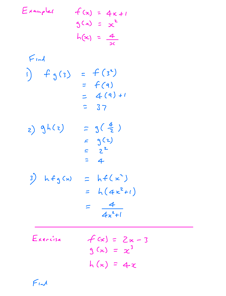Examples

\n
$$
f(x) = 4x + 1
$$
\n
$$
3(x) = x^{2}
$$
\n
$$
h(x) = \frac{4}{x}
$$
\nFind

\n
$$
f(x) = f(3^{2})
$$
\n
$$
= f(4)
$$
\n
$$
= 37
$$
\n2) 
$$
9h(z) = 3(\frac{4}{2})
$$
\n
$$
= 3^{2}
$$
\n
$$
= 2^{2}
$$
\n
$$
= 4
$$
\n3) 
$$
h f_{3}(x) = h f(x^{2})
$$
\n
$$
= h(4x^{2} + 1)
$$
\n
$$
= \frac{4}{4x^{2} + 1}
$$
\nExercise

\n
$$
f(x) = 2x - 3
$$
\n
$$
3(x) = x^{3}
$$

$$
h(x) = 4x
$$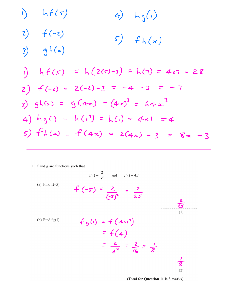1) 
$$
h(f(s))
$$
  
\n2)  $f(-2)$   
\n3)  $g h(x)$   
\n5)  $f h(x)$   
\n9)  $h f(s) = h(2(s)-3) = h(7) = 4s7 = 28$   
\n2)  $f(-2) = 2(-2)-3 = -4 - 3 = -7$   
\n3)  $g h(x) = g(4x) = (4x)^3 = 64x^3$   
\n4)  $hg(i) = h(i) = h(i) = 4 \times 1 = 4$   
\n5)  $f h(x) = f(4x) = 2(4x) - 3 = 8x - 3$ 

11 f and g are functions such that

(a) Find f(-5)  
\n(a) Find f(-5)  
\n
$$
f(x) = \frac{2}{x^2}
$$
 and  $g(x) = 4x^3$   
\n $f(-5) = \frac{2}{(-5)^2} = \frac{2}{25}$   
\n(b) Find fg(1)  
\n $f(g(1)) = f(g(1)) = f(4x^3)$   
\n $= f(4)$   
\n $\frac{2}{4^2} = \frac{2}{16} = \frac{1}{8}$ 

(Total for Question 11 is 3 marks)